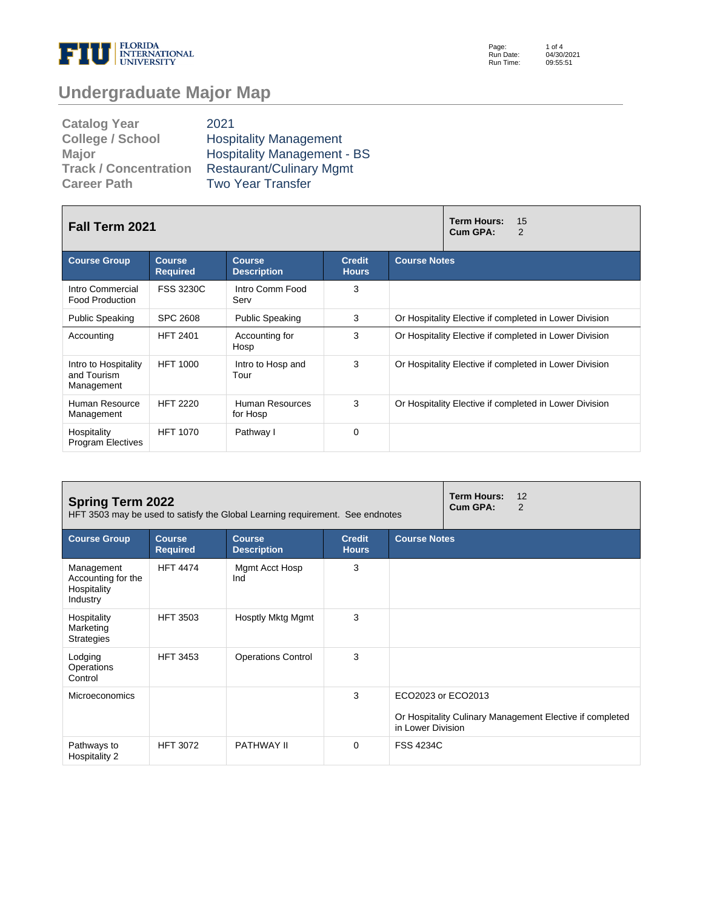

Page: Run Date: Run Time: 1 of 4 04/30/2021 09:55:51

# **Undergraduate Major Map**

| <b>Catalog Year</b>          | 2021                               |
|------------------------------|------------------------------------|
| <b>College / School</b>      | <b>Hospitality Management</b>      |
| <b>Major</b>                 | <b>Hospitality Management - BS</b> |
| <b>Track / Concentration</b> | <b>Restaurant/Culinary Mgmt</b>    |
| <b>Career Path</b>           | <b>Two Year Transfer</b>           |

| <b>Fall Term 2021</b>                             |                                  | <b>Term Hours:</b><br>15<br>Cum GPA:<br>$\overline{2}$ |                               |                                                        |  |  |
|---------------------------------------------------|----------------------------------|--------------------------------------------------------|-------------------------------|--------------------------------------------------------|--|--|
| <b>Course Group</b>                               | <b>Course</b><br><b>Required</b> | <b>Course</b><br><b>Description</b>                    | <b>Credit</b><br><b>Hours</b> | <b>Course Notes</b>                                    |  |  |
| Intro Commercial<br><b>Food Production</b>        | <b>FSS 3230C</b>                 | Intro Comm Food<br>Serv                                | 3                             |                                                        |  |  |
| <b>Public Speaking</b>                            | <b>SPC 2608</b>                  | <b>Public Speaking</b>                                 | 3                             | Or Hospitality Elective if completed in Lower Division |  |  |
| Accounting                                        | <b>HFT 2401</b>                  | Accounting for<br>Hosp                                 | 3                             | Or Hospitality Elective if completed in Lower Division |  |  |
| Intro to Hospitality<br>and Tourism<br>Management | <b>HFT 1000</b>                  | Intro to Hosp and<br>Tour                              | 3                             | Or Hospitality Elective if completed in Lower Division |  |  |
| Human Resource<br>Management                      | <b>HFT 2220</b>                  | Human Resources<br>for Hosp                            | 3                             | Or Hospitality Elective if completed in Lower Division |  |  |
| Hospitality<br><b>Program Electives</b>           | <b>HFT 1070</b>                  | Pathway I                                              | $\Omega$                      |                                                        |  |  |

| <b>Spring Term 2022</b><br>HFT 3503 may be used to satisfy the Global Learning requirement. See endnotes |                                  |                                     |                               |                                         | <b>Term Hours:</b><br>Cum GPA: | 12<br>2                                                  |
|----------------------------------------------------------------------------------------------------------|----------------------------------|-------------------------------------|-------------------------------|-----------------------------------------|--------------------------------|----------------------------------------------------------|
| <b>Course Group</b>                                                                                      | <b>Course</b><br><b>Required</b> | <b>Course</b><br><b>Description</b> | <b>Credit</b><br><b>Hours</b> | <b>Course Notes</b>                     |                                |                                                          |
| Management<br>Accounting for the<br>Hospitality<br>Industry                                              | <b>HFT 4474</b>                  | Mgmt Acct Hosp<br>Ind               | 3                             |                                         |                                |                                                          |
| Hospitality<br>Marketing<br><b>Strategies</b>                                                            | <b>HFT 3503</b>                  | Hosptly Mktg Mgmt                   | 3                             |                                         |                                |                                                          |
| Lodging<br>Operations<br>Control                                                                         | <b>HFT 3453</b>                  | <b>Operations Control</b>           | 3                             |                                         |                                |                                                          |
| <b>Microeconomics</b>                                                                                    |                                  |                                     | 3                             | ECO2023 or ECO2013<br>in Lower Division |                                | Or Hospitality Culinary Management Elective if completed |
| Pathways to<br>Hospitality 2                                                                             | <b>HFT 3072</b>                  | PATHWAY II                          | 0                             | <b>FSS 4234C</b>                        |                                |                                                          |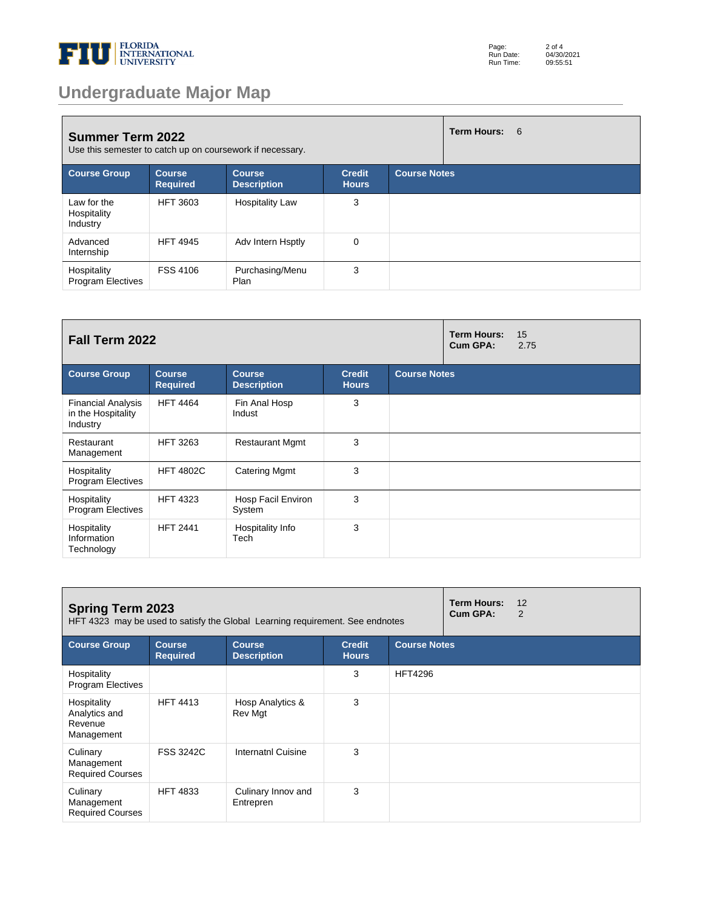

| Page:     | $2$ of $4$ |
|-----------|------------|
| Run Date: | 04/30/2021 |
| Run Time: | 09:55:51   |

# **Undergraduate Major Map**

| <b>Summer Term 2022</b><br>Use this semester to catch up on coursework if necessary. |                                  |                                     |                               | Term Hours: 6       |  |
|--------------------------------------------------------------------------------------|----------------------------------|-------------------------------------|-------------------------------|---------------------|--|
| <b>Course Group</b>                                                                  | <b>Course</b><br><b>Required</b> | <b>Course</b><br><b>Description</b> | <b>Credit</b><br><b>Hours</b> | <b>Course Notes</b> |  |
| Law for the<br>Hospitality<br>Industry                                               | <b>HFT 3603</b>                  | <b>Hospitality Law</b>              | 3                             |                     |  |
| Advanced<br>Internship                                                               | <b>HFT 4945</b>                  | Adv Intern Hsptly                   | $\mathbf 0$                   |                     |  |
| Hospitality<br><b>Program Electives</b>                                              | <b>FSS 4106</b>                  | Purchasing/Menu<br>Plan             | 3                             |                     |  |

| Fall Term 2022                                              |                                  |                                     |                               | <b>Term Hours:</b><br>Cum GPA: | 15<br>2.75 |  |
|-------------------------------------------------------------|----------------------------------|-------------------------------------|-------------------------------|--------------------------------|------------|--|
| <b>Course Group</b>                                         | <b>Course</b><br><b>Required</b> | <b>Course</b><br><b>Description</b> | <b>Credit</b><br><b>Hours</b> | <b>Course Notes</b>            |            |  |
| <b>Financial Analysis</b><br>in the Hospitality<br>Industry | <b>HFT 4464</b>                  | Fin Anal Hosp<br>Indust             | 3                             |                                |            |  |
| Restaurant<br>Management                                    | <b>HFT 3263</b>                  | <b>Restaurant Mgmt</b>              | 3                             |                                |            |  |
| Hospitality<br><b>Program Electives</b>                     | <b>HFT 4802C</b>                 | <b>Catering Mgmt</b>                | 3                             |                                |            |  |
| Hospitality<br><b>Program Electives</b>                     | <b>HFT 4323</b>                  | Hosp Facil Environ<br>System        | 3                             |                                |            |  |
| Hospitality<br>Information<br>Technology                    | <b>HFT 2441</b>                  | Hospitality Info<br>Tech            | 3                             |                                |            |  |

| <b>Spring Term 2023</b><br>HFT 4323 may be used to satisfy the Global Learning requirement. See endnotes |                                  |                                     |                               | <b>Term Hours:</b><br>Cum GPA: | 12<br>$\overline{2}$ |  |
|----------------------------------------------------------------------------------------------------------|----------------------------------|-------------------------------------|-------------------------------|--------------------------------|----------------------|--|
| <b>Course Group</b>                                                                                      | <b>Course</b><br><b>Required</b> | <b>Course</b><br><b>Description</b> | <b>Credit</b><br><b>Hours</b> | <b>Course Notes</b>            |                      |  |
| Hospitality<br><b>Program Electives</b>                                                                  |                                  |                                     | 3                             | <b>HFT4296</b>                 |                      |  |
| Hospitality<br>Analytics and<br>Revenue<br>Management                                                    | <b>HFT 4413</b>                  | Hosp Analytics &<br>Rev Mgt         | 3                             |                                |                      |  |
| Culinary<br>Management<br><b>Required Courses</b>                                                        | <b>FSS 3242C</b>                 | Internatnl Cuisine                  | 3                             |                                |                      |  |
| Culinary<br>Management<br><b>Required Courses</b>                                                        | <b>HFT 4833</b>                  | Culinary Innov and<br>Entrepren     | 3                             |                                |                      |  |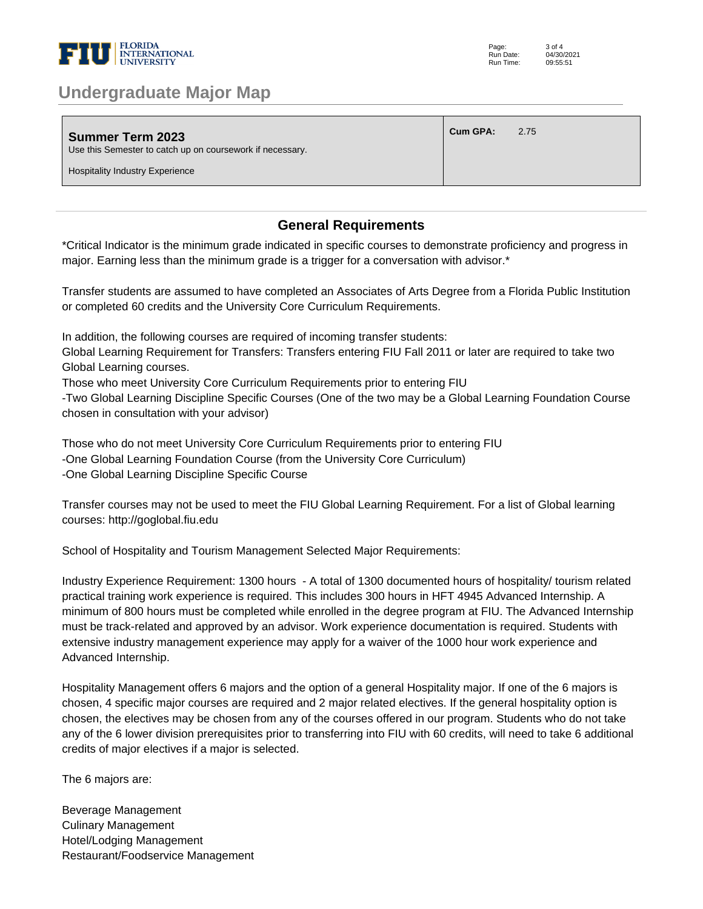

### **Undergraduate Major Map**

| Summer Term 2023<br>Use this Semester to catch up on coursework if necessary. | <b>Cum GPA:</b> | 2.75 |
|-------------------------------------------------------------------------------|-----------------|------|
| <b>Hospitality Industry Experience</b>                                        |                 |      |

#### **General Requirements**

\*Critical Indicator is the minimum grade indicated in specific courses to demonstrate proficiency and progress in major. Earning less than the minimum grade is a trigger for a conversation with advisor.\* 

Transfer students are assumed to have completed an Associates of Arts Degree from a Florida Public Institution or completed 60 credits and the University Core Curriculum Requirements. 

In addition, the following courses are required of incoming transfer students: 

Global Learning Requirement for Transfers: Transfers entering FIU Fall 2011 or later are required to take two Global Learning courses. 

Those who meet University Core Curriculum Requirements prior to entering FIU 

-Two Global Learning Discipline Specific Courses (One of the two may be a Global Learning Foundation Course chosen in consultation with your advisor) 

Those who do not meet University Core Curriculum Requirements prior to entering FIU -One Global Learning Foundation Course (from the University Core Curriculum) -One Global Learning Discipline Specific Course 

Transfer courses may not be used to meet the FIU Global Learning Requirement. For a list of Global learning courses: http://goglobal.fiu.edu 

School of Hospitality and Tourism Management Selected Major Requirements: 

Industry Experience Requirement: 1300 hours - A total of 1300 documented hours of hospitality/ tourism related practical training work experience is required. This includes 300 hours in HFT 4945 Advanced Internship. A minimum of 800 hours must be completed while enrolled in the degree program at FIU. The Advanced Internship must be track-related and approved by an advisor. Work experience documentation is required. Students with extensive industry management experience may apply for a waiver of the 1000 hour work experience and Advanced Internship. 

Hospitality Management offers 6 majors and the option of a general Hospitality major. If one of the 6 majors is chosen, 4 specific major courses are required and 2 major related electives. If the general hospitality option is chosen, the electives may be chosen from any of the courses offered in our program. Students who do not take any of the 6 lower division prerequisites prior to transferring into FIU with 60 credits, will need to take 6 additional credits of major electives if a major is selected.

The 6 majors are:

Beverage Management Culinary Management Hotel/Lodging Management Restaurant/Foodservice Management